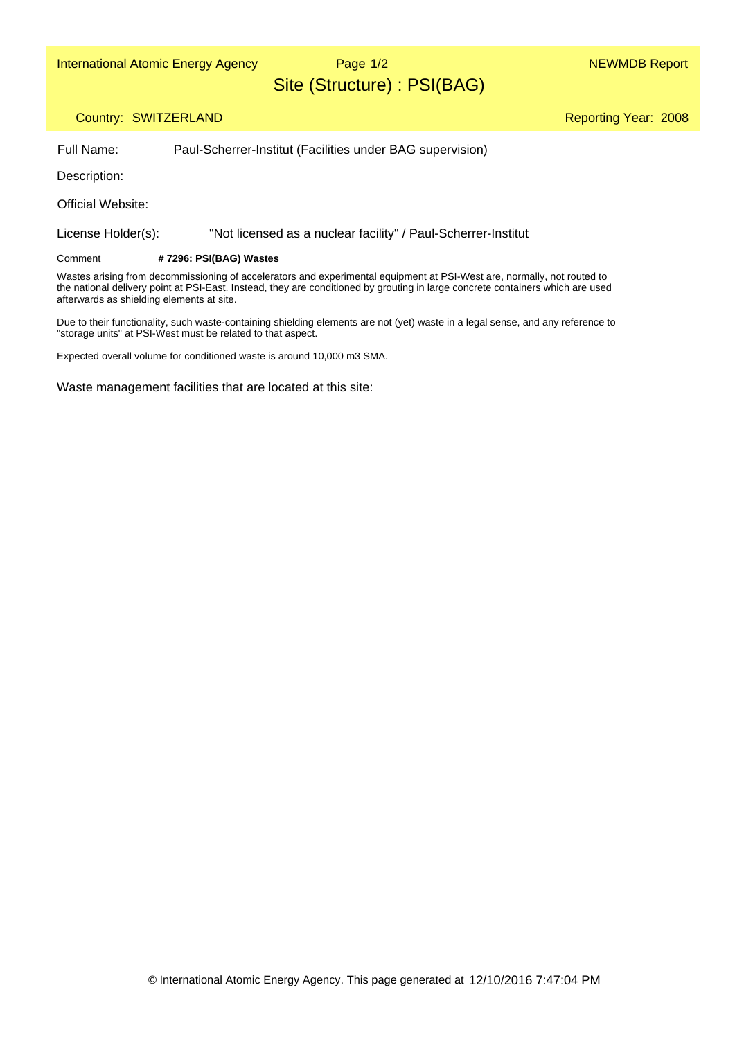Page 1/2

Reporting Year: 2008

# Site (Structure) : PSI(BAG)

### Country: SWITZERLAND

Full Name: Paul-Scherrer-Institut (Facilities under BAG supervision)

Description:

Official Website:

License Holder(s): "Not licensed as a nuclear facility" / Paul-Scherrer-Institut

#### **# 7296: PSI(BAG) Wastes** Comment

Wastes arising from decommissioning of accelerators and experimental equipment at PSI-West are, normally, not routed to the national delivery point at PSI-East. Instead, they are conditioned by grouting in large concrete containers which are used afterwards as shielding elements at site.

Due to their functionality, such waste-containing shielding elements are not (yet) waste in a legal sense, and any reference to "storage units" at PSI-West must be related to that aspect.

Expected overall volume for conditioned waste is around 10,000 m3 SMA.

Waste management facilities that are located at this site: